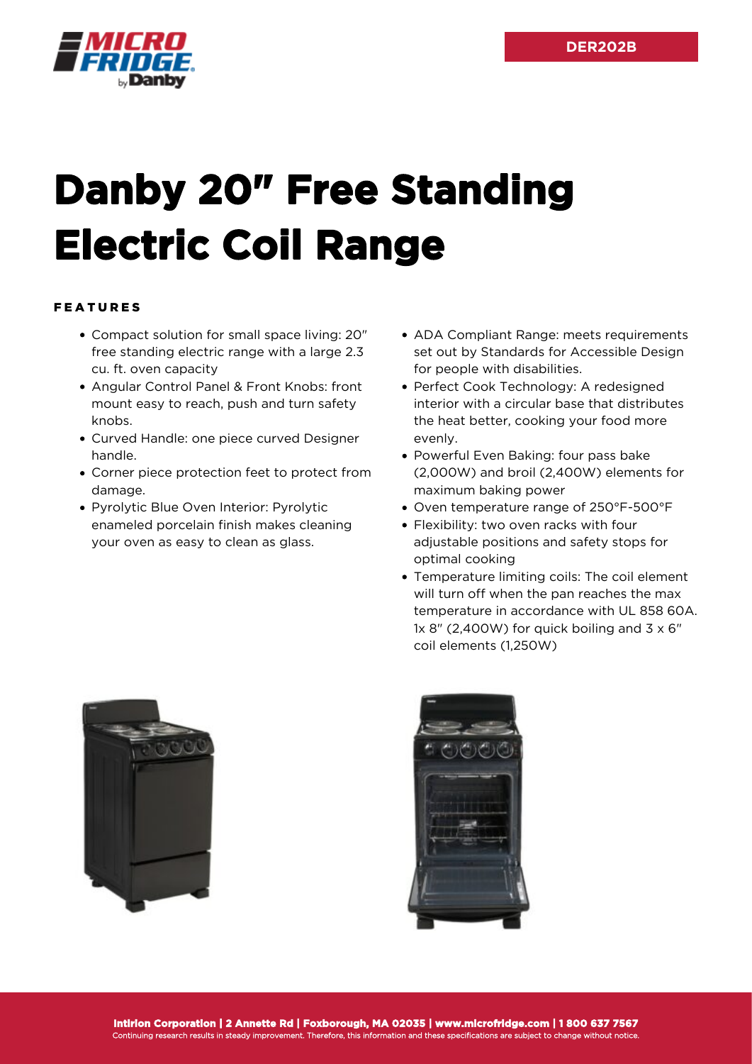

## **Danby 20" Free Standing Electric Coil Range**

## FEATURES

- Compact solution for small space living: 20" free standing electric range with a large 2.3 cu. ft. oven capacity
- Angular Control Panel & Front Knobs: front mount easy to reach, push and turn safety knobs.
- Curved Handle: one piece curved Designer handle.
- Corner piece protection feet to protect from damage.
- Pyrolytic Blue Oven Interior: Pyrolytic enameled porcelain finish makes cleaning your oven as easy to clean as glass.
- ADA Compliant Range: meets requirements set out by Standards for Accessible Design for people with disabilities.
- Perfect Cook Technology: A redesigned interior with a circular base that distributes the heat better, cooking your food more evenly.
- Powerful Even Baking: four pass bake (2,000W) and broil (2,400W) elements for maximum baking power
- Oven temperature range of 250°F-500°F
- Flexibility: two oven racks with four adjustable positions and safety stops for optimal cooking
- Temperature limiting coils: The coil element will turn off when the pan reaches the max temperature in accordance with UL 858 60A. 1x 8" (2,400W) for quick boiling and  $3 \times 6$ " coil elements (1,250W)